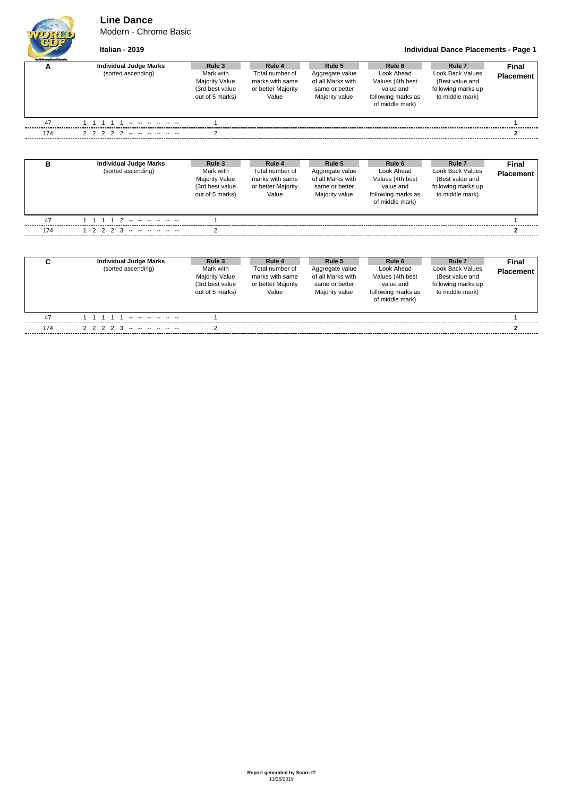**Line Dance**

Modern - Chrome Basic



**Italian - 2019 Individual Dance Placements - Page 1**

| <b>Outfi Grassy Davariatestic</b> |                                                                 |                                                                                    |                                                                             |                                                                                    |                                                                                                           |                                                                                                          |                           |
|-----------------------------------|-----------------------------------------------------------------|------------------------------------------------------------------------------------|-----------------------------------------------------------------------------|------------------------------------------------------------------------------------|-----------------------------------------------------------------------------------------------------------|----------------------------------------------------------------------------------------------------------|---------------------------|
| А                                 | <b>Individual Judge Marks</b><br>(sorted ascending)             | Rule 3<br>Mark with<br><b>Majority Value</b><br>(3rd best value<br>out of 5 marks) | Rule 4<br>Total number of<br>marks with same<br>or better Majority<br>Value | Rule 5<br>Aggregate value<br>of all Marks with<br>same or better<br>Majority value | Rule <sub>6</sub><br>Look Ahead<br>Values (4th best<br>value and<br>following marks as<br>of middle mark) | Rule <sub>7</sub><br><b>Look Back Values</b><br>(Best value and<br>following marks up<br>to middle mark) | Final<br><b>Placement</b> |
| 47                                | $1 \quad 1$<br>$\overline{1}$<br>$\mathbf{1}$<br>$\overline{1}$ |                                                                                    |                                                                             |                                                                                    |                                                                                                           |                                                                                                          | 1                         |
| 174                               | 2 <sub>2</sub><br>2 2<br>2                                      | 2                                                                                  |                                                                             |                                                                                    |                                                                                                           |                                                                                                          | $\mathbf{2}$              |
| B                                 | <b>Individual Judge Marks</b><br>(sorted ascending)             | Rule 3<br>Mark with<br><b>Majority Value</b><br>(3rd best value<br>out of 5 marks) | Rule 4<br>Total number of<br>marks with same<br>or better Majority<br>Value | Rule 5<br>Aggregate value<br>of all Marks with<br>same or better<br>Majority value | Rule <sub>6</sub><br>Look Ahead<br>Values (4th best<br>value and<br>following marks as<br>of middle mark) | Rule <sub>7</sub><br><b>Look Back Values</b><br>(Best value and<br>following marks up<br>to middle mark) | Final<br><b>Placement</b> |
| 47                                | 1 1 1 1 2 -- -- -- -- -                                         |                                                                                    |                                                                             |                                                                                    |                                                                                                           |                                                                                                          |                           |
| 174                               | $1 \t2 \t2 \t2$<br>$\mathcal{R}$                                |                                                                                    |                                                                             |                                                                                    |                                                                                                           |                                                                                                          | 2                         |
| C                                 | <b>Individual Judge Marks</b><br>(sorted ascending)             | Rule 3<br>Mark with<br><b>Majority Value</b><br>(3rd best value<br>out of 5 marks) | Rule 4<br>Total number of<br>marks with same<br>or better Majority<br>Value | Rule 5<br>Aggregate value<br>of all Marks with<br>same or better<br>Majority value | Rule <sub>6</sub><br>Look Ahead<br>Values (4th best<br>value and<br>following marks as<br>of middle mark) | Rule <sub>7</sub><br><b>Look Back Values</b><br>(Best value and<br>following marks up<br>to middle mark) | Final<br><b>Placement</b> |
| 47                                | 1 1 1 1 1                                                       |                                                                                    |                                                                             |                                                                                    |                                                                                                           |                                                                                                          | 1                         |

174 2 2 2 2 3 -- -- -- -- -- -- 2 **2**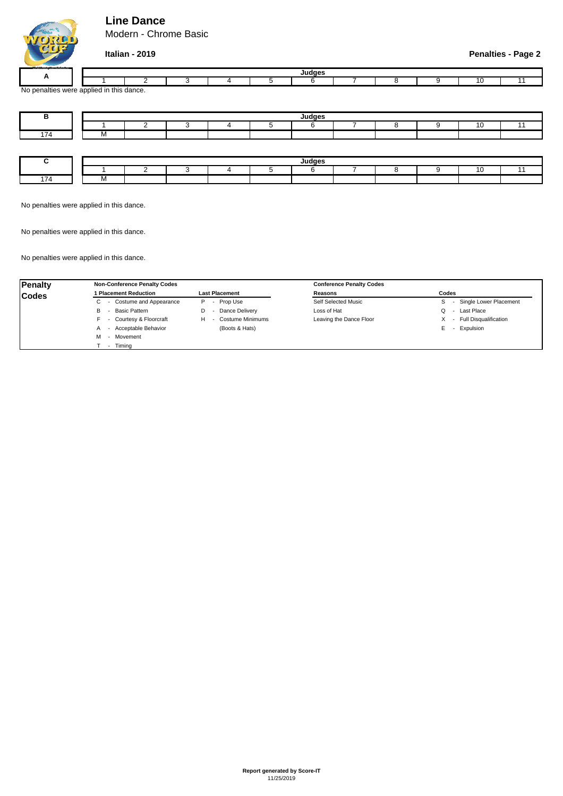## **Line Dance**

Modern - Chrome Basic



|                |                               | $H = 10000$<br>יטי |  |  |  |  |  |  |  |  |  |  |  |
|----------------|-------------------------------|--------------------|--|--|--|--|--|--|--|--|--|--|--|
|                |                               |                    |  |  |  |  |  |  |  |  |  |  |  |
| aalties<br>, ۷ | s were applied in this dance. |                    |  |  |  |  |  |  |  |  |  |  |  |

| в.  | Judges       |  |  |  |  |        |  |  |  |           |  |
|-----|--------------|--|--|--|--|--------|--|--|--|-----------|--|
|     |              |  |  |  |  |        |  |  |  | a.<br>. . |  |
| 174 | $\mathbf{v}$ |  |  |  |  |        |  |  |  |           |  |
|     |              |  |  |  |  |        |  |  |  |           |  |
|     |              |  |  |  |  |        |  |  |  |           |  |
| ~   |              |  |  |  |  | Judges |  |  |  |           |  |
|     |              |  |  |  |  |        |  |  |  | ◢         |  |
| 174 | 1 V I        |  |  |  |  |        |  |  |  |           |  |

No penalties were applied in this dance.

No penalties were applied in this dance.

No penalties were applied in this dance.

| Penalty      | <b>Non-Conference Penalty Codes</b>            |                        | <b>Conference Penalty Codes</b> |                          |  |  |  |
|--------------|------------------------------------------------|------------------------|---------------------------------|--------------------------|--|--|--|
| <b>Codes</b> | 1 Placement Reduction                          | <b>Last Placement</b>  | Reasons                         | Codes                    |  |  |  |
|              | - Costume and Appearance                       | Prop Use<br>P          | Self Selected Music             | - Single Lower Placement |  |  |  |
|              | Basic Pattern<br>в<br>$\overline{\phantom{a}}$ | Dance Delivery<br>D    | Loss of Hat                     | Last Place<br>$\sim$     |  |  |  |
|              | - Courtesy & Floorcraft                        | Costume Minimums<br>H. | Leaving the Dance Floor         | - Full Disqualification  |  |  |  |
|              | - Acceptable Behavior<br>А                     | (Boots & Hats)         |                                 | Expulsion                |  |  |  |
|              | - Movement<br>м                                |                        |                                 |                          |  |  |  |
|              | Timina<br>$\overline{\phantom{a}}$             |                        |                                 |                          |  |  |  |